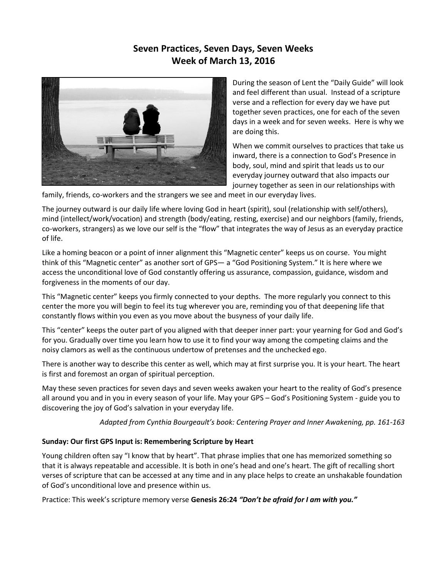# **Seven Practices, Seven Days, Seven Weeks Week of March 13, 2016**



During the season of Lent the "Daily Guide" will look and feel different than usual. Instead of a scripture verse and a reflection for every day we have put together seven practices, one for each of the seven days in a week and for seven weeks. Here is why we are doing this.

When we commit ourselves to practices that take us inward, there is a connection to God's Presence in body, soul, mind and spirit that leads us to our everyday journey outward that also impacts our journey together as seen in our relationships with

family, friends, co-workers and the strangers we see and meet in our everyday lives.

The journey outward is our daily life where loving God in heart (spirit), soul (relationship with self/others), mind (intellect/work/vocation) and strength (body/eating, resting, exercise) and our neighbors (family, friends, co-workers, strangers) as we love our self is the "flow" that integrates the way of Jesus as an everyday practice of life.

Like a homing beacon or a point of inner alignment this "Magnetic center" keeps us on course. You might think of this "Magnetic center" as another sort of GPS— a "God Positioning System." It is here where we access the unconditional love of God constantly offering us assurance, compassion, guidance, wisdom and forgiveness in the moments of our day.

This "Magnetic center" keeps you firmly connected to your depths. The more regularly you connect to this center the more you will begin to feel its tug wherever you are, reminding you of that deepening life that constantly flows within you even as you move about the busyness of your daily life.

This "center" keeps the outer part of you aligned with that deeper inner part: your yearning for God and God's for you. Gradually over time you learn how to use it to find your way among the competing claims and the noisy clamors as well as the continuous undertow of pretenses and the unchecked ego.

There is another way to describe this center as well, which may at first surprise you. It is your heart. The heart is first and foremost an organ of spiritual perception.

May these seven practices for seven days and seven weeks awaken your heart to the reality of God's presence all around you and in you in every season of your life. May your GPS – God's Positioning System - guide you to discovering the joy of God's salvation in your everyday life.

*Adapted from Cynthia Bourgeault's book: Centering Prayer and Inner Awakening, pp. 161-163*

# **Sunday: Our first GPS Input is: Remembering Scripture by Heart**

Young children often say "I know that by heart". That phrase implies that one has memorized something so that it is always repeatable and accessible. It is both in one's head and one's heart. The gift of recalling short verses of scripture that can be accessed at any time and in any place helps to create an unshakable foundation of God's unconditional love and presence within us.

Practice: This week's scripture memory verse **Genesis 26:24** *"Don't be afraid for I am with you."*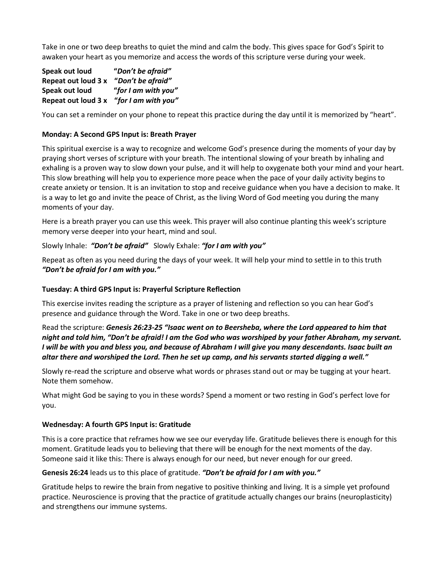Take in one or two deep breaths to quiet the mind and calm the body. This gives space for God's Spirit to awaken your heart as you memorize and access the words of this scripture verse during your week.

**Speak out loud "***Don't be afraid"* **Repeat out loud 3 x "***Don't be afraid"* **Speak out loud "***for I am with you"* **Repeat out loud 3 x "***for I am with you"*

You can set a reminder on your phone to repeat this practice during the day until it is memorized by "heart".

### **Monday: A Second GPS Input is: Breath Prayer**

This spiritual exercise is a way to recognize and welcome God's presence during the moments of your day by praying short verses of scripture with your breath. The intentional slowing of your breath by inhaling and exhaling is a proven way to slow down your pulse, and it will help to oxygenate both your mind and your heart. This slow breathing will help you to experience more peace when the pace of your daily activity begins to create anxiety or tension. It is an invitation to stop and receive guidance when you have a decision to make. It is a way to let go and invite the peace of Christ, as the living Word of God meeting you during the many moments of your day.

Here is a breath prayer you can use this week. This prayer will also continue planting this week's scripture memory verse deeper into your heart, mind and soul.

Slowly Inhale: *"Don't be afraid"* Slowly Exhale: *"for I am with you"*

Repeat as often as you need during the days of your week. It will help your mind to settle in to this truth *"Don't be afraid for I am with you."*

#### **Tuesday: A third GPS Input is: Prayerful Scripture Reflection**

This exercise invites reading the scripture as a prayer of listening and reflection so you can hear God's presence and guidance through the Word. Take in one or two deep breaths.

Read the scripture: *Genesis 26:23-25 "Isaac went on to Beersheba, where the Lord appeared to him that night and told him, "Don't be afraid! I am the God who was worshiped by your father Abraham, my servant. I will be with you and bless you, and because of Abraham I will give you many descendants. Isaac built an altar there and worshiped the Lord. Then he set up camp, and his servants started digging a well."*

Slowly re-read the scripture and observe what words or phrases stand out or may be tugging at your heart. Note them somehow.

What might God be saying to you in these words? Spend a moment or two resting in God's perfect love for you.

#### **Wednesday: A fourth GPS Input is: Gratitude**

This is a core practice that reframes how we see our everyday life. Gratitude believes there is enough for this moment. Gratitude leads you to believing that there will be enough for the next moments of the day. Someone said it like this: There is always enough for our need, but never enough for our greed.

#### **Genesis 26:24** leads us to this place of gratitude. *"Don't be afraid for I am with you."*

Gratitude helps to rewire the brain from negative to positive thinking and living. It is a simple yet profound practice. Neuroscience is proving that the practice of gratitude actually changes our brains (neuroplasticity) and strengthens our immune systems.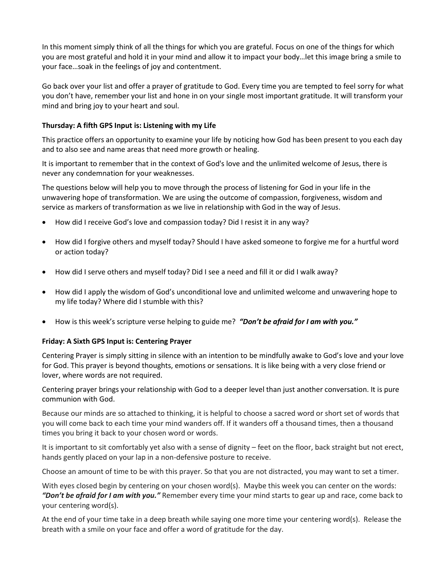In this moment simply think of all the things for which you are grateful. Focus on one of the things for which you are most grateful and hold it in your mind and allow it to impact your body…let this image bring a smile to your face…soak in the feelings of joy and contentment.

Go back over your list and offer a prayer of gratitude to God. Every time you are tempted to feel sorry for what you don't have, remember your list and hone in on your single most important gratitude. It will transform your mind and bring joy to your heart and soul.

### **Thursday: A fifth GPS Input is: Listening with my Life**

This practice offers an opportunity to examine your life by noticing how God has been present to you each day and to also see and name areas that need more growth or healing.

It is important to remember that in the context of God's love and the unlimited welcome of Jesus, there is never any condemnation for your weaknesses.

The questions below will help you to move through the process of listening for God in your life in the unwavering hope of transformation. We are using the outcome of compassion, forgiveness, wisdom and service as markers of transformation as we live in relationship with God in the way of Jesus.

- How did I receive God's love and compassion today? Did I resist it in any way?
- How did I forgive others and myself today? Should I have asked someone to forgive me for a hurtful word or action today?
- How did I serve others and myself today? Did I see a need and fill it or did I walk away?
- How did I apply the wisdom of God's unconditional love and unlimited welcome and unwavering hope to my life today? Where did I stumble with this?
- How is this week's scripture verse helping to guide me? *"Don't be afraid for I am with you."*

# **Friday: A Sixth GPS Input is: Centering Prayer**

Centering Prayer is simply sitting in silence with an intention to be mindfully awake to God's love and your love for God. This prayer is beyond thoughts, emotions or sensations. It is like being with a very close friend or lover, where words are not required.

Centering prayer brings your relationship with God to a deeper level than just another conversation. It is pure communion with God.

Because our minds are so attached to thinking, it is helpful to choose a sacred word or short set of words that you will come back to each time your mind wanders off. If it wanders off a thousand times, then a thousand times you bring it back to your chosen word or words.

It is important to sit comfortably yet also with a sense of dignity – feet on the floor, back straight but not erect, hands gently placed on your lap in a non-defensive posture to receive.

Choose an amount of time to be with this prayer. So that you are not distracted, you may want to set a timer.

With eyes closed begin by centering on your chosen word(s). Maybe this week you can center on the words: *"Don't be afraid for I am with you."* Remember every time your mind starts to gear up and race, come back to your centering word(s).

At the end of your time take in a deep breath while saying one more time your centering word(s). Release the breath with a smile on your face and offer a word of gratitude for the day.